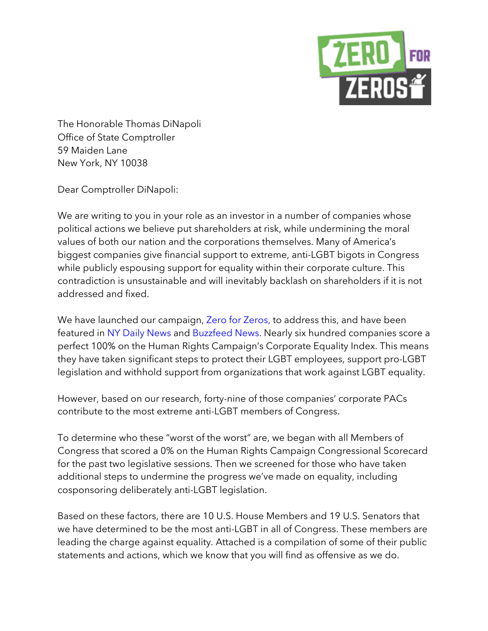

The Honorable Thomas DiNapoli Office of State Comptroller 59 Maiden Lane New York, NY 10038

Dear Comptroller DiNapoli:

We are writing to you in your role as an investor in a number of companies whose political actions we believe put shareholders at risk, while undermining the moral values of both our nation and the corporations themselves. Many of America's biggest companies give financial support to extreme, anti-LGBT bigots in Congress while publicly espousing support for equality within their corporate culture. This contradiction is unsustainable and will inevitably backlash on shareholders if it is not addressed and fixed.

We have launched our campaign, Zero for Zeros, to address this, and have been featured in NY Daily News and Buzzfeed News. Nearly six hundred companies score a perfect 100% on the Human Rights Campaign's Corporate Equality Index. This means they have taken significant steps to protect their LGBT employees, support pro-LGBT legislation and withhold support from organizations that work against LGBT equality.

However, based on our research, forty-nine of those companies' corporate PACs contribute to the most extreme anti-LGBT members of Congress.

To determine who these "worst of the worst" are, we began with all Members of Congress that scored a 0% on the Human Rights Campaign Congressional Scorecard for the past two legislative sessions. Then we screened for those who have taken additional steps to undermine the progress we've made on equality, including cosponsoring deliberately anti-LGBT legislation.

Based on these factors, there are 10 U.S. House Members and 19 U.S. Senators that we have determined to be the most anti-LGBT in all of Congress. These members are leading the charge against equality. Attached is a compilation of some of their public statements and actions, which we know that you will find as offensive as we do.